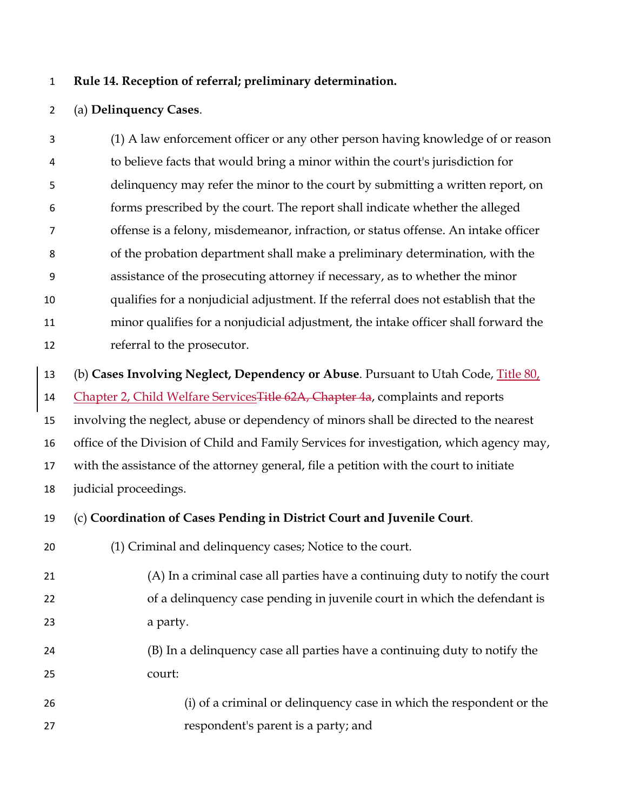## **Rule 14. Reception of referral; preliminary determination.**

## (a) **Delinquency Cases**.

 (1) A law enforcement officer or any other person having knowledge of or reason to believe facts that would bring a minor within the court's jurisdiction for delinquency may refer the minor to the court by submitting a written report, on forms prescribed by the court. The report shall indicate whether the alleged offense is a felony, misdemeanor, infraction, or status offense. An intake officer of the probation department shall make a preliminary determination, with the assistance of the prosecuting attorney if necessary, as to whether the minor qualifies for a nonjudicial adjustment. If the referral does not establish that the minor qualifies for a nonjudicial adjustment, the intake officer shall forward the referral to the prosecutor.

(b) **Cases Involving Neglect, Dependency or Abuse**. Pursuant to Utah Code, Title 80,

14 Chapter 2, Child Welfare Services Title 62A, Chapter 4a, complaints and reports

involving the neglect, abuse or dependency of minors shall be directed to the nearest

office of the Division of Child and Family Services for investigation, which agency may,

with the assistance of the attorney general, file a petition with the court to initiate

judicial proceedings.

## (c) **Coordination of Cases Pending in District Court and Juvenile Court**.

(1) Criminal and delinquency cases; Notice to the court.

- (A) In a criminal case all parties have a continuing duty to notify the court of a delinquency case pending in juvenile court in which the defendant is a party.
- (B) In a delinquency case all parties have a continuing duty to notify the court:
- (i) of a criminal or delinquency case in which the respondent or the respondent's parent is a party; and